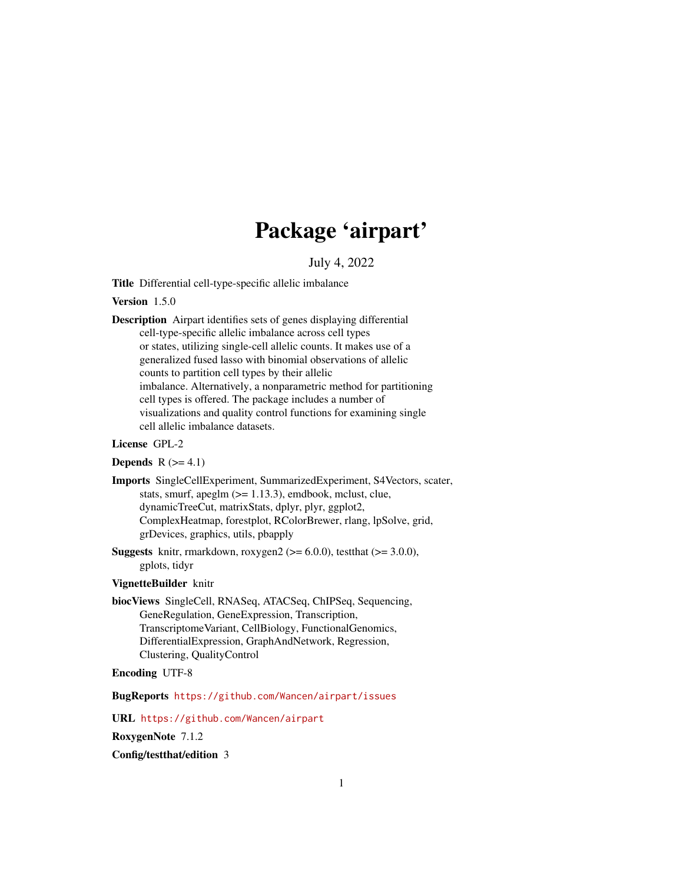# Package 'airpart'

# July 4, 2022

<span id="page-0-0"></span>Title Differential cell-type-specific allelic imbalance

# Version 1.5.0

Description Airpart identifies sets of genes displaying differential cell-type-specific allelic imbalance across cell types or states, utilizing single-cell allelic counts. It makes use of a generalized fused lasso with binomial observations of allelic counts to partition cell types by their allelic imbalance. Alternatively, a nonparametric method for partitioning cell types is offered. The package includes a number of visualizations and quality control functions for examining single cell allelic imbalance datasets.

#### License GPL-2

#### Depends  $R$  ( $>= 4.1$ )

Imports SingleCellExperiment, SummarizedExperiment, S4Vectors, scater, stats, smurf, apeglm  $(>= 1.13.3)$ , emdbook, mclust, clue, dynamicTreeCut, matrixStats, dplyr, plyr, ggplot2, ComplexHeatmap, forestplot, RColorBrewer, rlang, lpSolve, grid, grDevices, graphics, utils, pbapply

**Suggests** knitr, rmarkdown, roxygen2 ( $>= 6.0.0$ ), testthat ( $>= 3.0.0$ ), gplots, tidyr

# VignetteBuilder knitr

biocViews SingleCell, RNASeq, ATACSeq, ChIPSeq, Sequencing, GeneRegulation, GeneExpression, Transcription, TranscriptomeVariant, CellBiology, FunctionalGenomics, DifferentialExpression, GraphAndNetwork, Regression, Clustering, QualityControl

# Encoding UTF-8

BugReports <https://github.com/Wancen/airpart/issues>

URL <https://github.com/Wancen/airpart>

RoxygenNote 7.1.2

Config/testthat/edition 3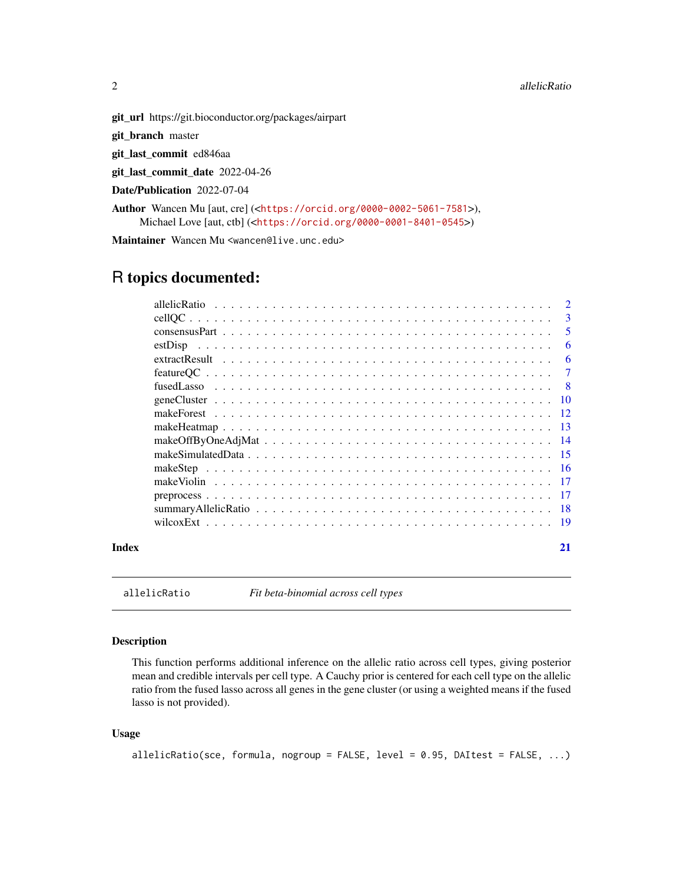<span id="page-1-0"></span>

git\_url https://git.bioconductor.org/packages/airpart

git\_branch master

git\_last\_commit ed846aa

git\_last\_commit\_date 2022-04-26

Date/Publication 2022-07-04

Author Wancen Mu [aut, cre] (<<https://orcid.org/0000-0002-5061-7581>>), Michael Love [aut, ctb] (<<https://orcid.org/0000-0001-8401-0545>>)

Maintainer Wancen Mu <wancen@live.unc.edu>

# R topics documented:

|       | 5              |
|-------|----------------|
|       | 6              |
|       |                |
|       | $\overline{7}$ |
|       |                |
|       |                |
|       |                |
|       |                |
|       |                |
|       |                |
|       |                |
|       |                |
|       |                |
|       |                |
|       |                |
| Index | 21             |

allelicRatio *Fit beta-binomial across cell types*

#### Description

This function performs additional inference on the allelic ratio across cell types, giving posterior mean and credible intervals per cell type. A Cauchy prior is centered for each cell type on the allelic ratio from the fused lasso across all genes in the gene cluster (or using a weighted means if the fused lasso is not provided).

#### Usage

```
allelicRatio(sce, formula, nogroup = FALSE, level = 0.95, DAItest = FALSE, ...)
```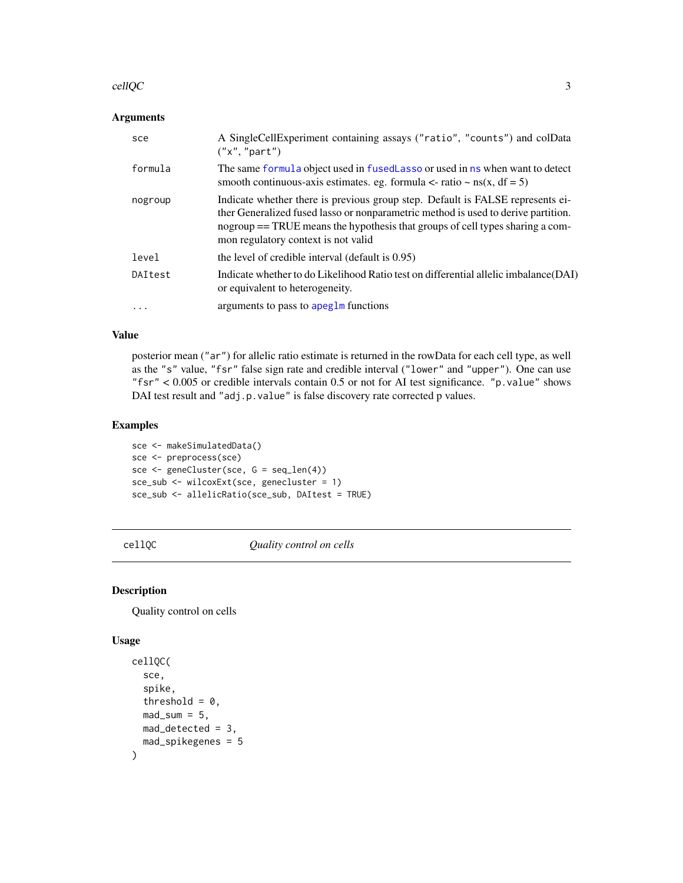#### <span id="page-2-0"></span>cellQC 3

# Arguments

| sce       | A SingleCellExperiment containing assays ("ratio", "counts") and colData<br>("x", "part")                                                                                                                                                                                                   |
|-----------|---------------------------------------------------------------------------------------------------------------------------------------------------------------------------------------------------------------------------------------------------------------------------------------------|
| formula   | The same formula object used in fusedLasso or used in ns when want to detect<br>smooth continuous-axis estimates. eg. formula $\lt$ - ratio $\lt$ ns(x, df = 5)                                                                                                                             |
| nogroup   | Indicate whether there is previous group step. Default is FALSE represents ei-<br>ther Generalized fused lasso or nonparametric method is used to derive partition.<br>nogroup == TRUE means the hypothesis that groups of cell types sharing a com-<br>mon regulatory context is not valid |
| level     | the level of credible interval (default is 0.95)                                                                                                                                                                                                                                            |
| DAItest   | Indicate whether to do Likelihood Ratio test on differential allelic imbalance (DAI)<br>or equivalent to heterogeneity.                                                                                                                                                                     |
| $\ddotsc$ | arguments to pass to apeglm functions                                                                                                                                                                                                                                                       |

#### Value

posterior mean ("ar") for allelic ratio estimate is returned in the rowData for each cell type, as well as the "s" value, "fsr" false sign rate and credible interval ("lower" and "upper"). One can use "fsr" < 0.005 or credible intervals contain 0.5 or not for AI test significance. "p.value" shows DAI test result and "adj.p.value" is false discovery rate corrected p values.

# Examples

sce <- makeSimulatedData() sce <- preprocess(sce) sce <- geneCluster(sce, G = seq\_len(4)) sce\_sub <- wilcoxExt(sce, genecluster = 1) sce\_sub <- allelicRatio(sce\_sub, DAItest = TRUE)

cellQC *Quality control on cells*

# Description

Quality control on cells

#### Usage

```
cellQC(
  sce,
  spike,
  threshold = 0,
  mad\_sum = 5,
  mad_detected = 3,
  mad_spikegenes = 5
\mathcal{E}
```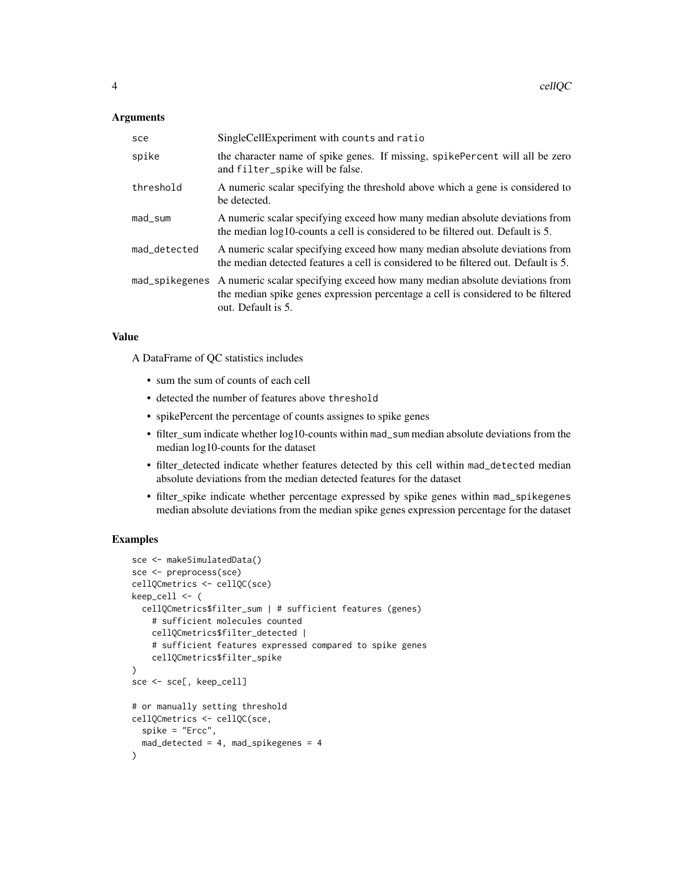#### **Arguments**

| sce          | SingleCellExperiment with counts and ratio                                                                                                                                                           |
|--------------|------------------------------------------------------------------------------------------------------------------------------------------------------------------------------------------------------|
| spike        | the character name of spike genes. If missing, spikePercent will all be zero<br>and filter_spike will be false.                                                                                      |
| threshold    | A numeric scalar specifying the threshold above which a gene is considered to<br>be detected.                                                                                                        |
| mad_sum      | A numeric scalar specifying exceed how many median absolute deviations from<br>the median log10-counts a cell is considered to be filtered out. Default is 5.                                        |
| mad_detected | A numeric scalar specifying exceed how many median absolute deviations from<br>the median detected features a cell is considered to be filtered out. Default is 5.                                   |
|              | mad_spikegenes A numeric scalar specifying exceed how many median absolute deviations from<br>the median spike genes expression percentage a cell is considered to be filtered<br>out. Default is 5. |

# Value

A DataFrame of QC statistics includes

- sum the sum of counts of each cell
- detected the number of features above threshold
- spikePercent the percentage of counts assignes to spike genes
- filter\_sum indicate whether log10-counts within mad\_sum median absolute deviations from the median log10-counts for the dataset
- filter\_detected indicate whether features detected by this cell within mad\_detected median absolute deviations from the median detected features for the dataset
- filter\_spike indicate whether percentage expressed by spike genes within mad\_spikegenes median absolute deviations from the median spike genes expression percentage for the dataset

```
sce <- makeSimulatedData()
sce <- preprocess(sce)
cellQCmetrics <- cellQC(sce)
keep_cell <- (
  cellQCmetrics$filter_sum | # sufficient features (genes)
    # sufficient molecules counted
    cellQCmetrics$filter_detected |
    # sufficient features expressed compared to spike genes
    cellQCmetrics$filter_spike
\mathcal{L}sce <- sce[, keep_cell]
# or manually setting threshold
cellQCmetrics <- cellQC(sce,
  spike = "Ercc",
  mad\_detected = 4, mad\_spikegenes = 4)
```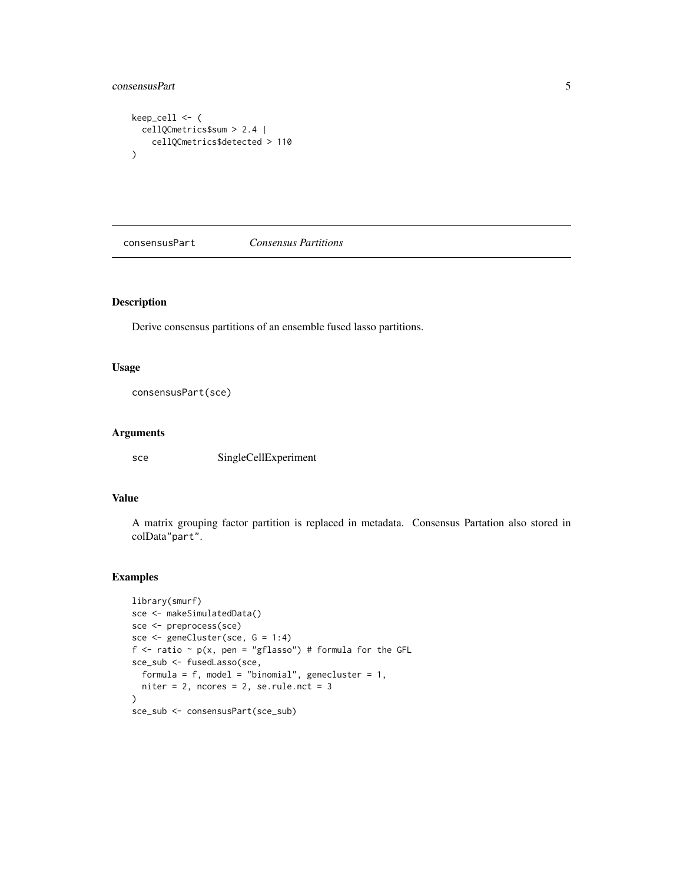# <span id="page-4-0"></span>consensusPart 5

```
keep_cell <- (
  cellQCmetrics$sum > 2.4 |
    cellQCmetrics$detected > 110
\mathcal{L}
```
consensusPart *Consensus Partitions*

#### Description

Derive consensus partitions of an ensemble fused lasso partitions.

#### Usage

consensusPart(sce)

#### Arguments

sce SingleCellExperiment

#### Value

A matrix grouping factor partition is replaced in metadata. Consensus Partation also stored in colData"part".

```
library(smurf)
sce <- makeSimulatedData()
sce <- preprocess(sce)
sce <- geneCluster(sce, G = 1:4)
f <- ratio \sim p(x, \text{ pen} = "gflasso") # formula for the GFL
sce_sub <- fusedLasso(sce,
  formula = f, model = "binomial", genecluster = 1,
  niter = 2, ncores = 2, se.rule.nct = 3\lambdasce_sub <- consensusPart(sce_sub)
```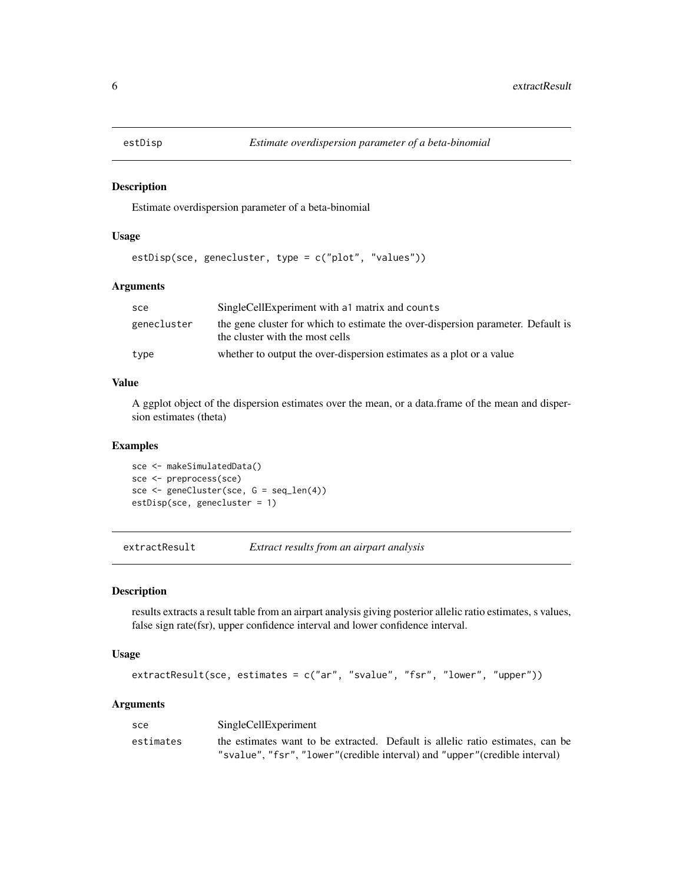<span id="page-5-0"></span>

#### Description

Estimate overdispersion parameter of a beta-binomial

#### Usage

estDisp(sce, genecluster, type = c("plot", "values"))

#### Arguments

| sce         | SingleCellExperiment with a 1 matrix and counts                                                                     |  |
|-------------|---------------------------------------------------------------------------------------------------------------------|--|
| genecluster | the gene cluster for which to estimate the over-dispersion parameter. Default is<br>the cluster with the most cells |  |
| type        | whether to output the over-dispersion estimates as a plot or a value                                                |  |

#### Value

A ggplot object of the dispersion estimates over the mean, or a data.frame of the mean and dispersion estimates (theta)

#### Examples

sce <- makeSimulatedData() sce <- preprocess(sce) sce <- geneCluster(sce, G = seq\_len(4)) estDisp(sce, genecluster = 1)

extractResult *Extract results from an airpart analysis*

#### Description

results extracts a result table from an airpart analysis giving posterior allelic ratio estimates, s values, false sign rate(fsr), upper confidence interval and lower confidence interval.

#### Usage

```
extractResult(sce, estimates = c("ar", "svalue", "fsr", "lower", "upper"))
```
#### Arguments

| sce       | SingleCellExperiment                                                           |
|-----------|--------------------------------------------------------------------------------|
| estimates | the estimates want to be extracted. Default is allelic ratio estimates, can be |
|           | "svalue", "fsr", "lower"(credible interval) and "upper"(credible interval)     |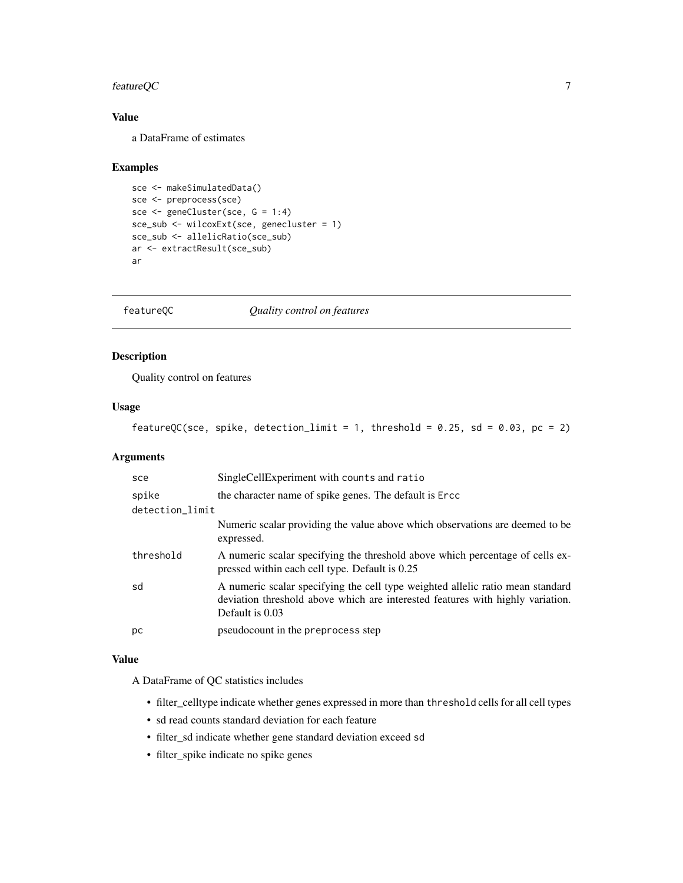# <span id="page-6-0"></span>featureQC 7

# Value

a DataFrame of estimates

#### Examples

```
sce <- makeSimulatedData()
sce <- preprocess(sce)
sce <- geneCluster(sce, G = 1:4)
sce_sub <- wilcoxExt(sce, genecluster = 1)
sce_sub <- allelicRatio(sce_sub)
ar <- extractResult(sce_sub)
ar
```
featureQC *Quality control on features*

# Description

Quality control on features

# Usage

```
featureQC(sce, spike, detection_limit = 1, threshold = 0.25, sd = 0.03, pc = 2)
```
# Arguments

| sce             | SingleCellExperiment with counts and ratio                                                                                                                                          |
|-----------------|-------------------------------------------------------------------------------------------------------------------------------------------------------------------------------------|
| spike           | the character name of spike genes. The default is Enec-                                                                                                                             |
| detection_limit |                                                                                                                                                                                     |
|                 | Numeric scalar providing the value above which observations are deemed to be<br>expressed.                                                                                          |
| threshold       | A numeric scalar specifying the threshold above which percentage of cells ex-<br>pressed within each cell type. Default is 0.25                                                     |
| sd              | A numeric scalar specifying the cell type weighted allelic ratio mean standard<br>deviation threshold above which are interested features with highly variation.<br>Default is 0.03 |
| рc              | pseudocount in the preprocess step                                                                                                                                                  |

#### Value

A DataFrame of QC statistics includes

- filter\_celltype indicate whether genes expressed in more than threshold cells for all cell types
- sd read counts standard deviation for each feature
- filter\_sd indicate whether gene standard deviation exceed sd
- filter\_spike indicate no spike genes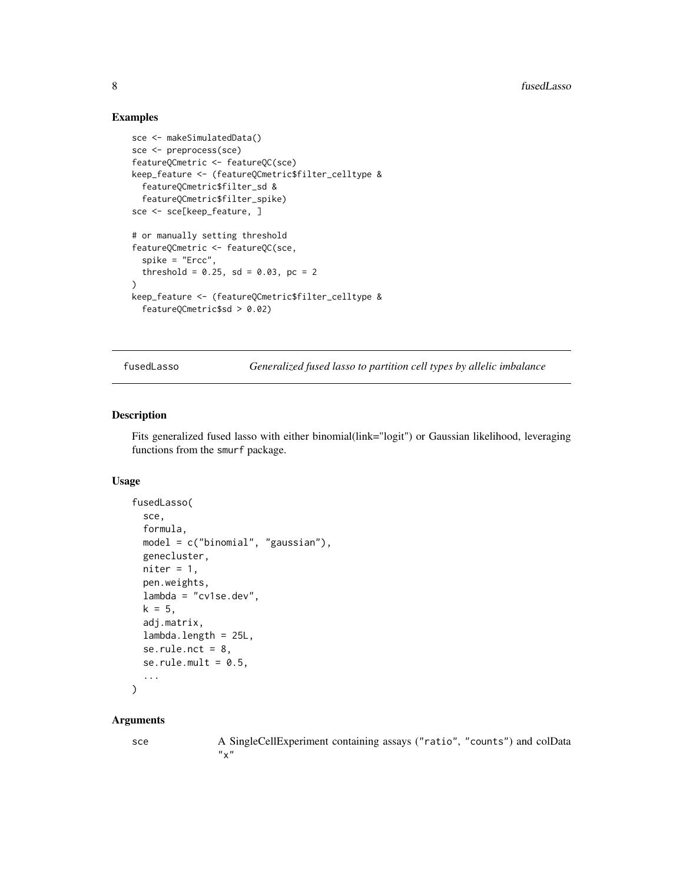#### Examples

```
sce <- makeSimulatedData()
sce <- preprocess(sce)
featureQCmetric <- featureQC(sce)
keep_feature <- (featureQCmetric$filter_celltype &
  featureQCmetric$filter_sd &
  featureQCmetric$filter_spike)
sce <- sce[keep_feature, ]
# or manually setting threshold
featureQCmetric <- featureQC(sce,
  spike = "Ercc",
  threshold = 0.25, sd = 0.03, pc = 2
)
keep_feature <- (featureQCmetric$filter_celltype &
  featureQCmetric$sd > 0.02)
```
<span id="page-7-1"></span>fusedLasso *Generalized fused lasso to partition cell types by allelic imbalance*

#### Description

Fits generalized fused lasso with either binomial(link="logit") or Gaussian likelihood, leveraging functions from the smurf package.

# Usage

```
fusedLasso(
  sce,
  formula,
 model = c("binomial", "gaussian"),
  genecluster,
 niter = 1,
  pen.weights,
  lambda = "cv1se.dev",
 k = 5,
  adj.matrix,
  lambda.length = 25L,
  se.rule.nct = 8,
  se.rule.mult = 0.5,
  ...
\lambda
```
#### Arguments

sce A SingleCellExperiment containing assays ("ratio", "counts") and colData  $"x"$ 

<span id="page-7-0"></span>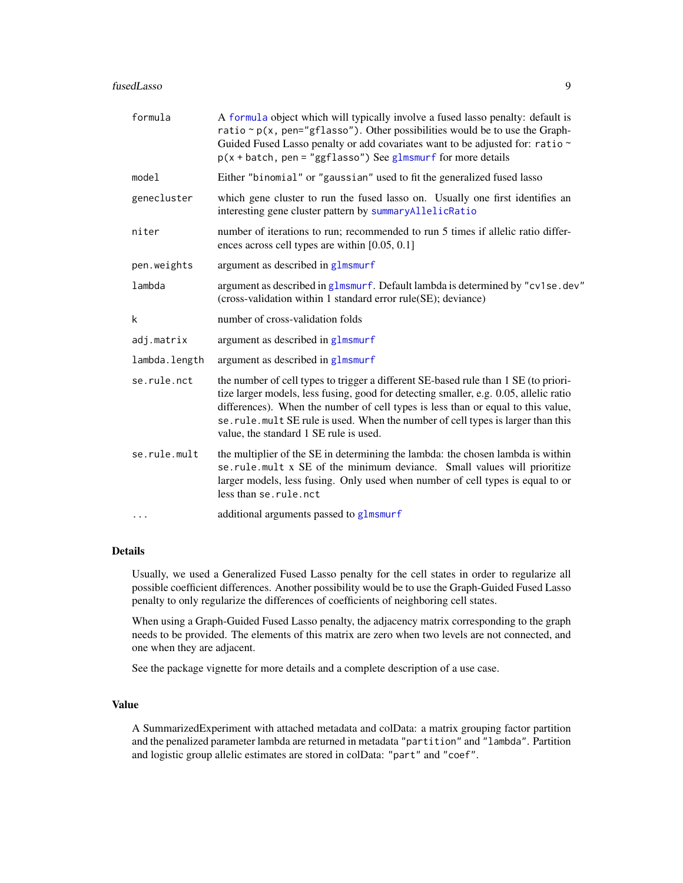#### <span id="page-8-0"></span>fusedLasso 9

| formula       | A formula object which will typically involve a fused lasso penalty: default is<br>ratio $\sim p(x, \text{ pen="gflasso")$ . Other possibilities would be to use the Graph-<br>Guided Fused Lasso penalty or add covariates want to be adjusted for: ratio ~<br>$p(x + batch, pen = "ggflasso")$ See glmsmurf for more details                                                                  |  |
|---------------|-------------------------------------------------------------------------------------------------------------------------------------------------------------------------------------------------------------------------------------------------------------------------------------------------------------------------------------------------------------------------------------------------|--|
| model         | Either "binomial" or "gaussian" used to fit the generalized fused lasso                                                                                                                                                                                                                                                                                                                         |  |
| genecluster   | which gene cluster to run the fused lasso on. Usually one first identifies an<br>interesting gene cluster pattern by summaryAllelicRatio                                                                                                                                                                                                                                                        |  |
| niter         | number of iterations to run; recommended to run 5 times if allelic ratio differ-<br>ences across cell types are within $[0.05, 0.1]$                                                                                                                                                                                                                                                            |  |
| pen.weights   | argument as described in glmsmurf                                                                                                                                                                                                                                                                                                                                                               |  |
| lambda        | argument as described in glmsmurf. Default lambda is determined by "cv1se.dev"<br>(cross-validation within 1 standard error rule(SE); deviance)                                                                                                                                                                                                                                                 |  |
| k             | number of cross-validation folds                                                                                                                                                                                                                                                                                                                                                                |  |
| adj.matrix    | argument as described in glmsmurf                                                                                                                                                                                                                                                                                                                                                               |  |
| lambda.length | argument as described in glmsmurf                                                                                                                                                                                                                                                                                                                                                               |  |
| se.rule.nct   | the number of cell types to trigger a different SE-based rule than 1 SE (to priori-<br>tize larger models, less fusing, good for detecting smaller, e.g. 0.05, allelic ratio<br>differences). When the number of cell types is less than or equal to this value,<br>se. rule. mult SE rule is used. When the number of cell types is larger than this<br>value, the standard 1 SE rule is used. |  |
| se.rule.mult  | the multiplier of the SE in determining the lambda: the chosen lambda is within<br>se.rule.mult x SE of the minimum deviance. Small values will prioritize<br>larger models, less fusing. Only used when number of cell types is equal to or<br>less than se.rule.nct                                                                                                                           |  |
| $\ddots$      | additional arguments passed to glmsmurf                                                                                                                                                                                                                                                                                                                                                         |  |

# Details

Usually, we used a Generalized Fused Lasso penalty for the cell states in order to regularize all possible coefficient differences. Another possibility would be to use the Graph-Guided Fused Lasso penalty to only regularize the differences of coefficients of neighboring cell states.

When using a Graph-Guided Fused Lasso penalty, the adjacency matrix corresponding to the graph needs to be provided. The elements of this matrix are zero when two levels are not connected, and one when they are adjacent.

See the package vignette for more details and a complete description of a use case.

#### Value

A SummarizedExperiment with attached metadata and colData: a matrix grouping factor partition and the penalized parameter lambda are returned in metadata "partition" and "lambda". Partition and logistic group allelic estimates are stored in colData: "part" and "coef".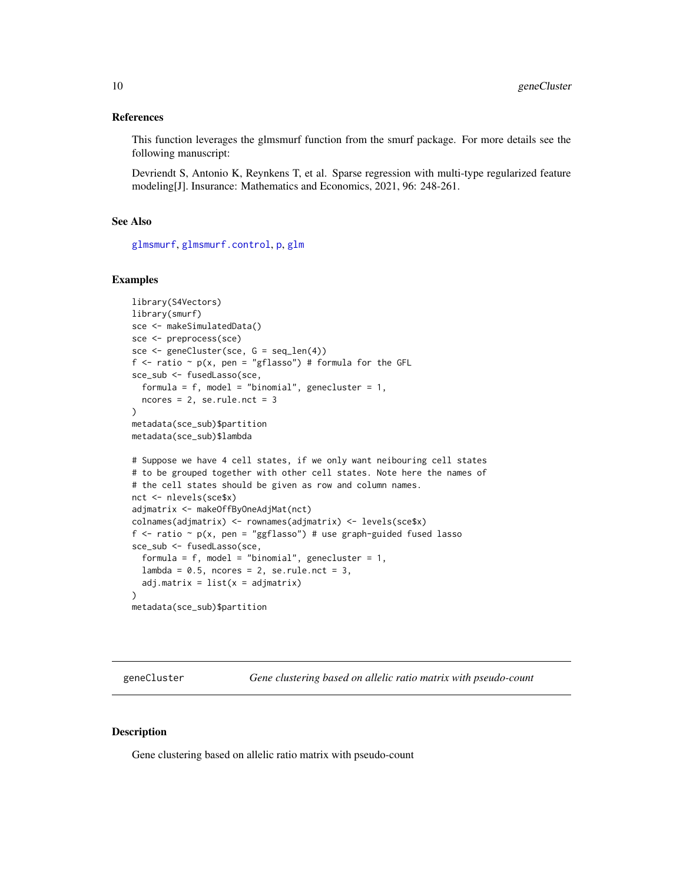#### <span id="page-9-0"></span>References

This function leverages the glmsmurf function from the smurf package. For more details see the following manuscript:

Devriendt S, Antonio K, Reynkens T, et al. Sparse regression with multi-type regularized feature modeling[J]. Insurance: Mathematics and Economics, 2021, 96: 248-261.

# See Also

[glmsmurf](#page-0-0), [glmsmurf.control](#page-0-0), [p](#page-0-0), [glm](#page-0-0)

#### Examples

```
library(S4Vectors)
library(smurf)
sce <- makeSimulatedData()
sce <- preprocess(sce)
sce <- geneCluster(sce, G = seq_len(4))
f \le ratio \sim p(x, pen = "gflasso") # formula for the GFL
sce_sub <- fusedLasso(sce,
  formula = f, model = "binomial", genecluster = 1,
  ncores = 2, se-rule.net = 3)
metadata(sce_sub)$partition
metadata(sce_sub)$lambda
# Suppose we have 4 cell states, if we only want neibouring cell states
# to be grouped together with other cell states. Note here the names of
# the cell states should be given as row and column names.
nct <- nlevels(sce$x)
adjmatrix <- makeOffByOneAdjMat(nct)
colnames(adjmatrix) <- rownames(adjmatrix) <- levels(sce$x)
f <- ratio \sim p(x, \text{ pen} = "ggflasso") # use graph-guided fused lasso
sce_sub <- fusedLasso(sce,
  formula = f, model = "binomial", genecluster = 1,
  lambda = 0.5, ncores = 2, se.rule.nct = 3,
  adj.matrix = list(x = \text{adj}matrix))
metadata(sce_sub)$partition
```
geneCluster *Gene clustering based on allelic ratio matrix with pseudo-count*

#### **Description**

Gene clustering based on allelic ratio matrix with pseudo-count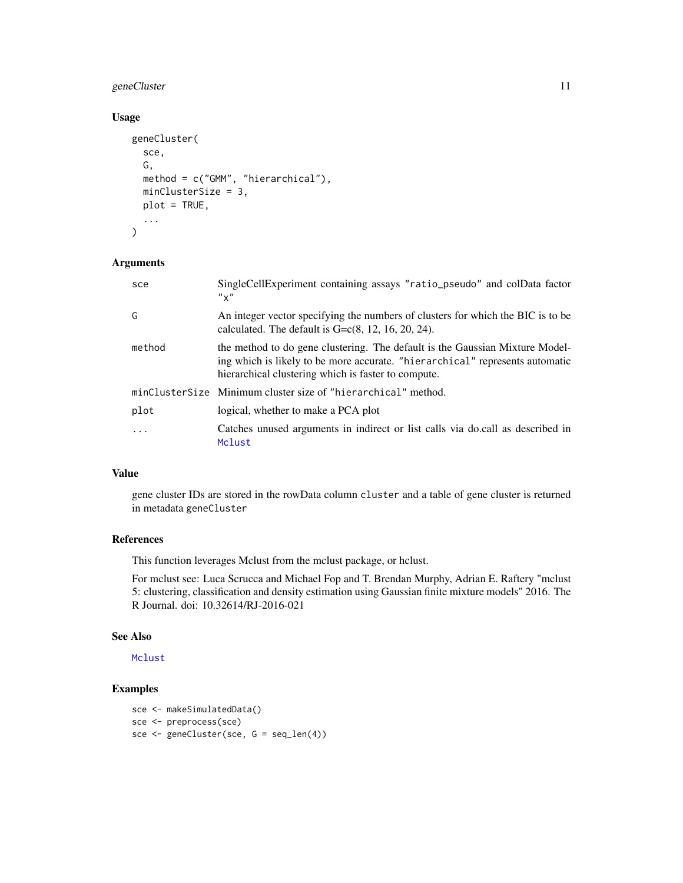# <span id="page-10-0"></span>geneCluster 11

# Usage

```
geneCluster(
  sce,
  G,
 method = c("GMM", "hierarchical"),
 minClusterSize = 3,
 plot = TRUE,
  ...
)
```
# Arguments

| sce    | SingleCellExperiment containing assays "ratio_pseudo" and colData factor<br>$'' \times''$                                                                                                                           |
|--------|---------------------------------------------------------------------------------------------------------------------------------------------------------------------------------------------------------------------|
| G      | An integer vector specifying the numbers of clusters for which the BIC is to be<br>calculated. The default is $G = c(8, 12, 16, 20, 24)$ .                                                                          |
| method | the method to do gene clustering. The default is the Gaussian Mixture Model-<br>ing which is likely to be more accurate. "hierarchical" represents automatic<br>hierarchical clustering which is faster to compute. |
|        | minClusterSize Minimum cluster size of "hierarchical" method.                                                                                                                                                       |
| plot   | logical, whether to make a PCA plot                                                                                                                                                                                 |
| .      | Catches unused arguments in indirect or list calls via do.call as described in<br>Mclust                                                                                                                            |

# Value

gene cluster IDs are stored in the rowData column cluster and a table of gene cluster is returned in metadata geneCluster

# References

This function leverages Mclust from the mclust package, or hclust.

For mclust see: Luca Scrucca and Michael Fop and T. Brendan Murphy, Adrian E. Raftery "mclust 5: clustering, classification and density estimation using Gaussian finite mixture models" 2016. The R Journal. doi: 10.32614/RJ-2016-021

# See Also

[Mclust](#page-0-0)

```
sce <- makeSimulatedData()
sce <- preprocess(sce)
sce <- geneCluster(sce, G = seq_len(4))
```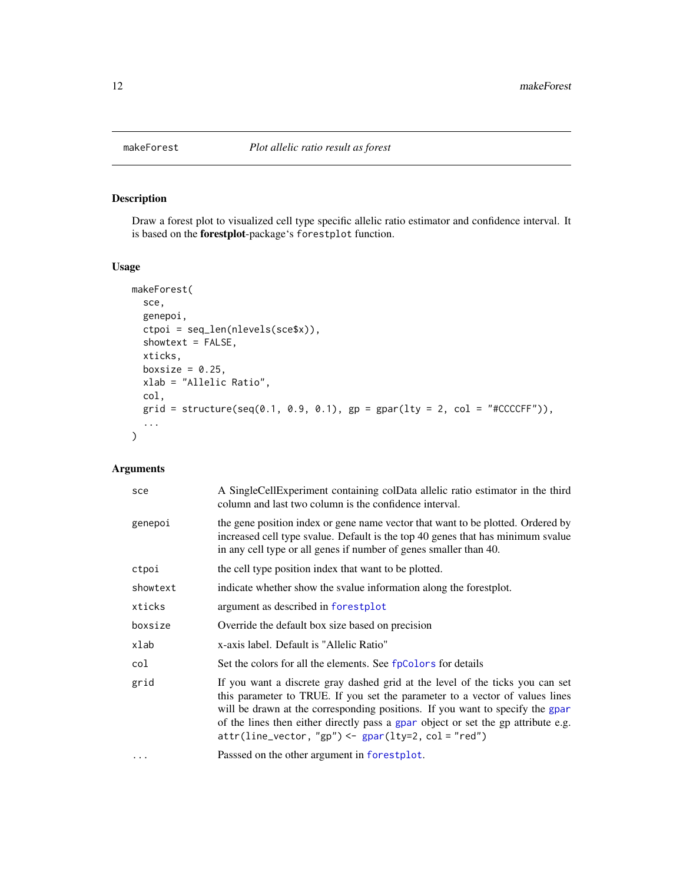<span id="page-11-0"></span>

# Description

Draw a forest plot to visualized cell type specific allelic ratio estimator and confidence interval. It is based on the forestplot-package's forestplot function.

#### Usage

```
makeForest(
  sce,
  genepoi,
  ctpoi = seq_len(nlevels(sce$x)),
  showtext = FALSE,xticks,
  boxsize = 0.25,
  xlab = "Allelic Ratio",
  col,
  grid = structure(seq(0.1, 0.9, 0.1), gp = gapar(lty = 2, col = "#CCCCFF")),
  ...
)
```
# Arguments

| sce      | A Single Cell Experiment containing colData allelic ratio estimator in the third<br>column and last two column is the confidence interval.                                                                                                                                                                                                                                                           |
|----------|------------------------------------------------------------------------------------------------------------------------------------------------------------------------------------------------------------------------------------------------------------------------------------------------------------------------------------------------------------------------------------------------------|
| genepoi  | the gene position index or gene name vector that want to be plotted. Ordered by<br>increased cell type svalue. Default is the top 40 genes that has minimum svalue<br>in any cell type or all genes if number of genes smaller than 40.                                                                                                                                                              |
| ctpoi    | the cell type position index that want to be plotted.                                                                                                                                                                                                                                                                                                                                                |
| showtext | indicate whether show the svalue information along the forestplot.                                                                                                                                                                                                                                                                                                                                   |
| xticks   | argument as described in forestplot                                                                                                                                                                                                                                                                                                                                                                  |
| boxsize  | Override the default box size based on precision                                                                                                                                                                                                                                                                                                                                                     |
| xlab     | x-axis label. Default is "Allelic Ratio"                                                                                                                                                                                                                                                                                                                                                             |
| col      | Set the colors for all the elements. See fpColors for details                                                                                                                                                                                                                                                                                                                                        |
| grid     | If you want a discrete gray dashed grid at the level of the ticks you can set<br>this parameter to TRUE. If you set the parameter to a vector of values lines<br>will be drawn at the corresponding positions. If you want to specify the gpar<br>of the lines then either directly pass a gpar object or set the gp attribute e.g.<br>$attr(line\_vector, "gp") \leftarrow gap([ty=2, col = "red")$ |
|          | Passsed on the other argument in forestplot.                                                                                                                                                                                                                                                                                                                                                         |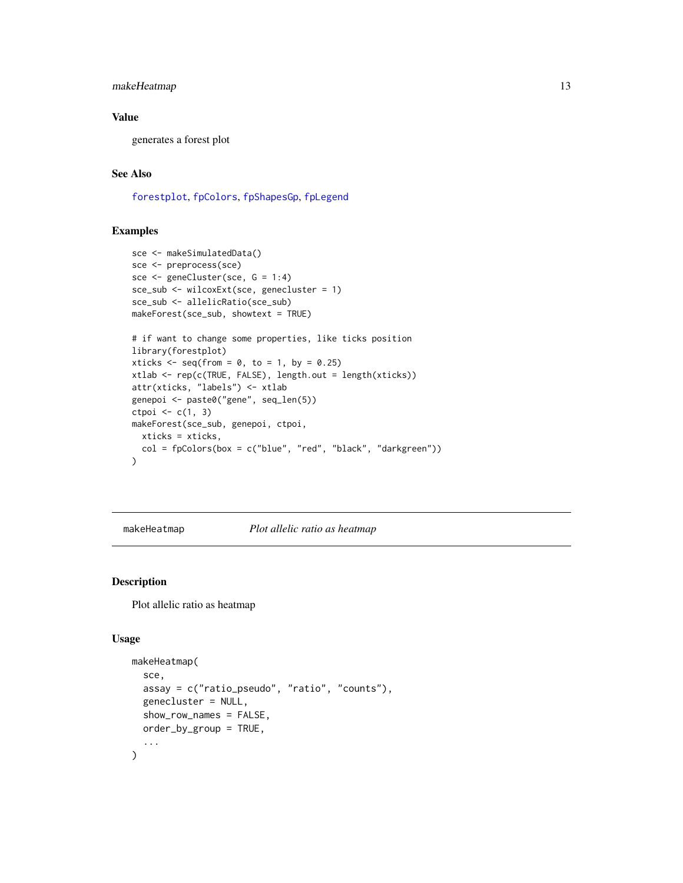# <span id="page-12-0"></span>makeHeatmap 13

# Value

generates a forest plot

# See Also

[forestplot](#page-0-0), [fpColors](#page-0-0), [fpShapesGp](#page-0-0), [fpLegend](#page-0-0)

#### Examples

```
sce <- makeSimulatedData()
sce <- preprocess(sce)
sce <- geneCluster(sce, G = 1:4)
sce_sub <- wilcoxExt(sce, genecluster = 1)
sce_sub <- allelicRatio(sce_sub)
makeForest(sce_sub, showtext = TRUE)
# if want to change some properties, like ticks position
library(forestplot)
xticks \leq seq(from = 0, to = 1, by = 0.25)
xtlab <- rep(c(TRUE, FALSE), length.out = length(xticks))
attr(xticks, "labels") <- xtlab
genepoi <- paste0("gene", seq_len(5))
ctpoi \leq c(1, 3)makeForest(sce_sub, genepoi, ctpoi,
  xticks = xticks,
  col = fpColors(box = c("blue", "red", "black", "darkgreen")\mathcal{L}
```
makeHeatmap *Plot allelic ratio as heatmap*

#### Description

Plot allelic ratio as heatmap

#### Usage

```
makeHeatmap(
  sce,
  assay = c("ratio_pseudo", "ratio", "counts"),
  genecluster = NULL,
  show_row_names = FALSE,
 order_by_group = TRUE,
  ...
)
```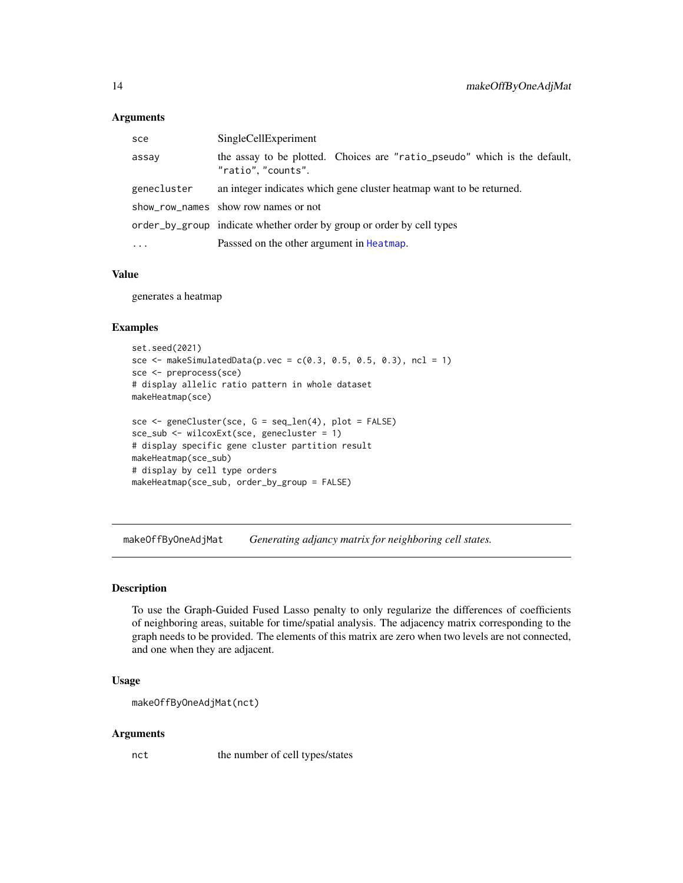#### <span id="page-13-0"></span>**Arguments**

| sce         | SingleCellExperiment                                                                            |  |
|-------------|-------------------------------------------------------------------------------------------------|--|
| assay       | the assay to be plotted. Choices are "ratio_pseudo" which is the default,<br>"ratio", "counts". |  |
| genecluster | an integer indicates which gene cluster heatmap want to be returned.                            |  |
|             | show_row_names show row names or not                                                            |  |
|             | order_by_group indicate whether order by group or order by cell types                           |  |
| $\ddotsc$   | Passsed on the other argument in Heatmap.                                                       |  |
|             |                                                                                                 |  |

# Value

generates a heatmap

# Examples

```
set.seed(2021)
sce <- makeSimulatedData(p.vec = c(0.3, 0.5, 0.5, 0.3), ncl = 1)
sce <- preprocess(sce)
# display allelic ratio pattern in whole dataset
makeHeatmap(sce)
sce <- geneCluster(sce, G = seq_len(4), plot = FALSE)
sce_sub <- wilcoxExt(sce, genecluster = 1)
# display specific gene cluster partition result
makeHeatmap(sce_sub)
# display by cell type orders
makeHeatmap(sce_sub, order_by_group = FALSE)
```
makeOffByOneAdjMat *Generating adjancy matrix for neighboring cell states.*

# Description

To use the Graph-Guided Fused Lasso penalty to only regularize the differences of coefficients of neighboring areas, suitable for time/spatial analysis. The adjacency matrix corresponding to the graph needs to be provided. The elements of this matrix are zero when two levels are not connected, and one when they are adjacent.

# Usage

```
makeOffByOneAdjMat(nct)
```
#### Arguments

nct the number of cell types/states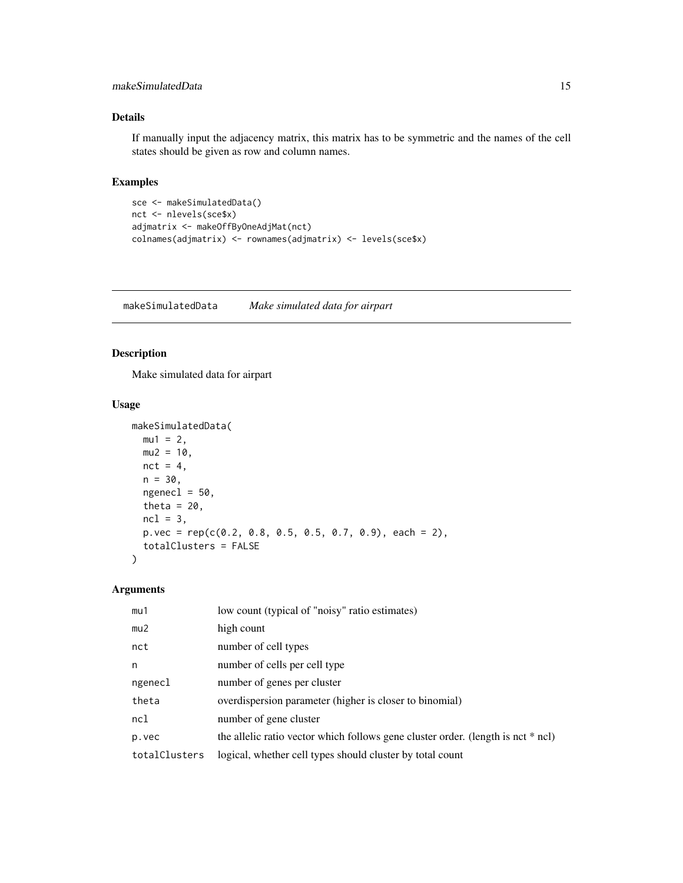# <span id="page-14-0"></span>makeSimulatedData 15

# Details

If manually input the adjacency matrix, this matrix has to be symmetric and the names of the cell states should be given as row and column names.

#### Examples

```
sce <- makeSimulatedData()
nct <- nlevels(sce$x)
adjmatrix <- makeOffByOneAdjMat(nct)
colnames(adjmatrix) <- rownames(adjmatrix) <- levels(sce$x)
```
makeSimulatedData *Make simulated data for airpart*

#### Description

Make simulated data for airpart

# Usage

```
makeSimulatedData(
 mu1 = 2,
 mu2 = 10,
 nct = 4,
 n = 30,
 ngenecl = 50,
  theta = 20,
 ncl = 3,
 p.vec = rep(c(0.2, 0.8, 0.5, 0.5, 0.7, 0.9), each = 2),
  totalClusters = FALSE
)
```
# Arguments

| mu1           | low count (typical of "noisy" ratio estimates)                                   |
|---------------|----------------------------------------------------------------------------------|
| mu2           | high count                                                                       |
| nct           | number of cell types                                                             |
| n             | number of cells per cell type                                                    |
| ngenecl       | number of genes per cluster                                                      |
| theta         | overdispersion parameter (higher is closer to binomial)                          |
| ncl           | number of gene cluster                                                           |
| p.vec         | the allelic ratio vector which follows gene cluster order. (length is nct * ncl) |
| totalClusters | logical, whether cell types should cluster by total count                        |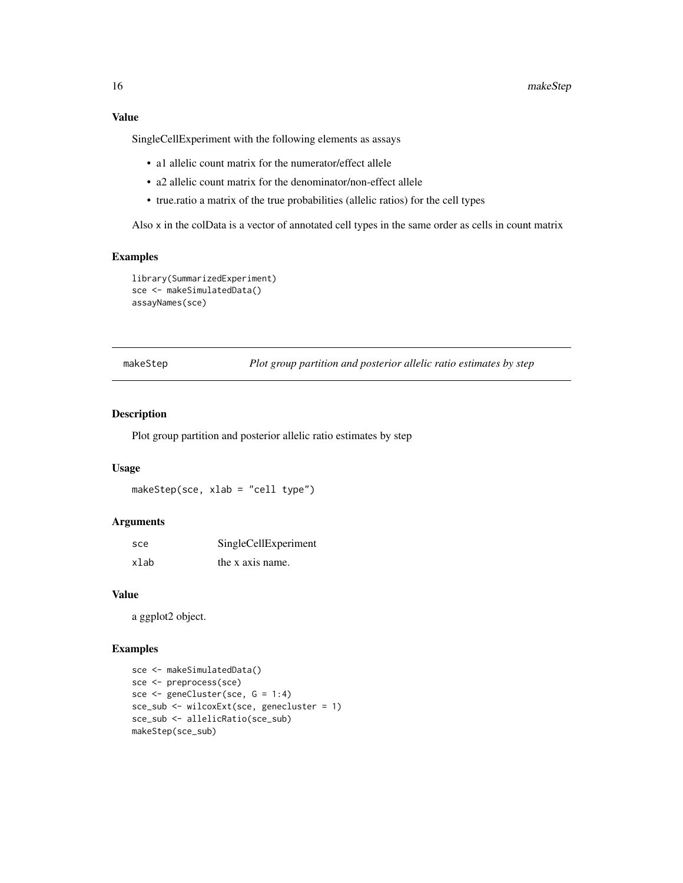#### Value

SingleCellExperiment with the following elements as assays

- a1 allelic count matrix for the numerator/effect allele
- a2 allelic count matrix for the denominator/non-effect allele
- true.ratio a matrix of the true probabilities (allelic ratios) for the cell types

Also x in the colData is a vector of annotated cell types in the same order as cells in count matrix

# Examples

```
library(SummarizedExperiment)
sce <- makeSimulatedData()
assayNames(sce)
```
makeStep *Plot group partition and posterior allelic ratio estimates by step*

# Description

Plot group partition and posterior allelic ratio estimates by step

#### Usage

makeStep(sce, xlab = "cell type")

#### Arguments

| sce  | SingleCellExperiment |
|------|----------------------|
| xlab | the x axis name.     |

#### Value

a ggplot2 object.

```
sce <- makeSimulatedData()
sce <- preprocess(sce)
sce <- geneCluster(sce, G = 1:4)
sce_sub <- wilcoxExt(sce, genecluster = 1)
sce_sub <- allelicRatio(sce_sub)
makeStep(sce_sub)
```
<span id="page-15-0"></span>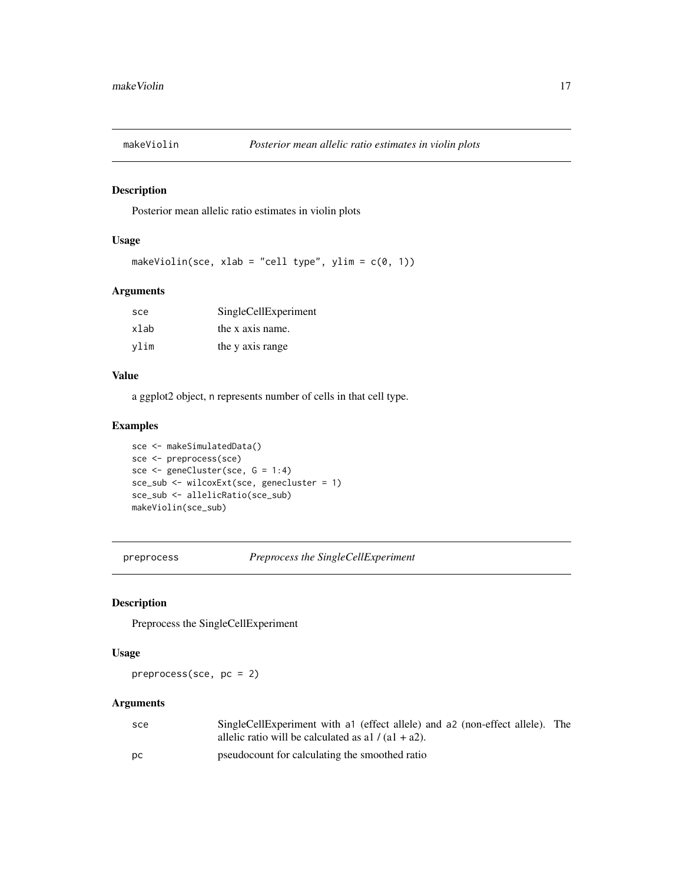<span id="page-16-0"></span>

# Description

Posterior mean allelic ratio estimates in violin plots

# Usage

makeViolin(sce, xlab = "cell type", ylim =  $c(0, 1)$ )

# Arguments

| sce  | SingleCellExperiment |
|------|----------------------|
| xlab | the x axis name.     |
| vlim | the y axis range     |

#### Value

a ggplot2 object, n represents number of cells in that cell type.

#### Examples

```
sce <- makeSimulatedData()
sce <- preprocess(sce)
sce <- geneCluster(sce, G = 1:4)
sce_sub <- wilcoxExt(sce, genecluster = 1)
sce_sub <- allelicRatio(sce_sub)
makeViolin(sce_sub)
```
preprocess *Preprocess the SingleCellExperiment*

# Description

Preprocess the SingleCellExperiment

#### Usage

preprocess(sce, pc = 2)

# Arguments

| sce | SingleCellExperiment with a ceffect allele) and a c (non-effect allele). The |  |
|-----|------------------------------------------------------------------------------|--|
|     | allelic ratio will be calculated as a $1/(a1 + a2)$ .                        |  |
| DC. | pseudocount for calculating the smoothed ratio                               |  |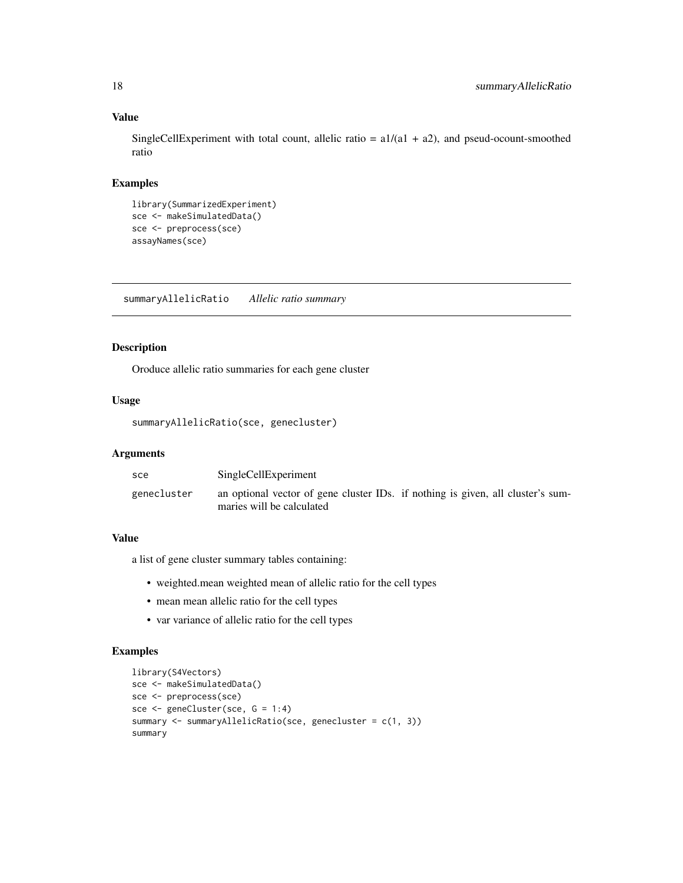# Value

SingleCellExperiment with total count, allelic ratio =  $a1/(a1 + a2)$ , and pseud-ocount-smoothed ratio

# Examples

```
library(SummarizedExperiment)
sce <- makeSimulatedData()
sce <- preprocess(sce)
assayNames(sce)
```
<span id="page-17-1"></span>summaryAllelicRatio *Allelic ratio summary*

#### Description

Oroduce allelic ratio summaries for each gene cluster

#### Usage

summaryAllelicRatio(sce, genecluster)

# Arguments

| sce         | SingleCellExperiment                                                                                         |
|-------------|--------------------------------------------------------------------------------------------------------------|
| genecluster | an optional vector of gene cluster IDs. if nothing is given, all cluster's sum-<br>maries will be calculated |

#### Value

a list of gene cluster summary tables containing:

- weighted.mean weighted mean of allelic ratio for the cell types
- mean mean allelic ratio for the cell types
- var variance of allelic ratio for the cell types

```
library(S4Vectors)
sce <- makeSimulatedData()
sce <- preprocess(sce)
sce <- geneCluster(sce, G = 1:4)
summary <- summaryAllelicRatio(sce, genecluster = c(1, 3))
summary
```
<span id="page-17-0"></span>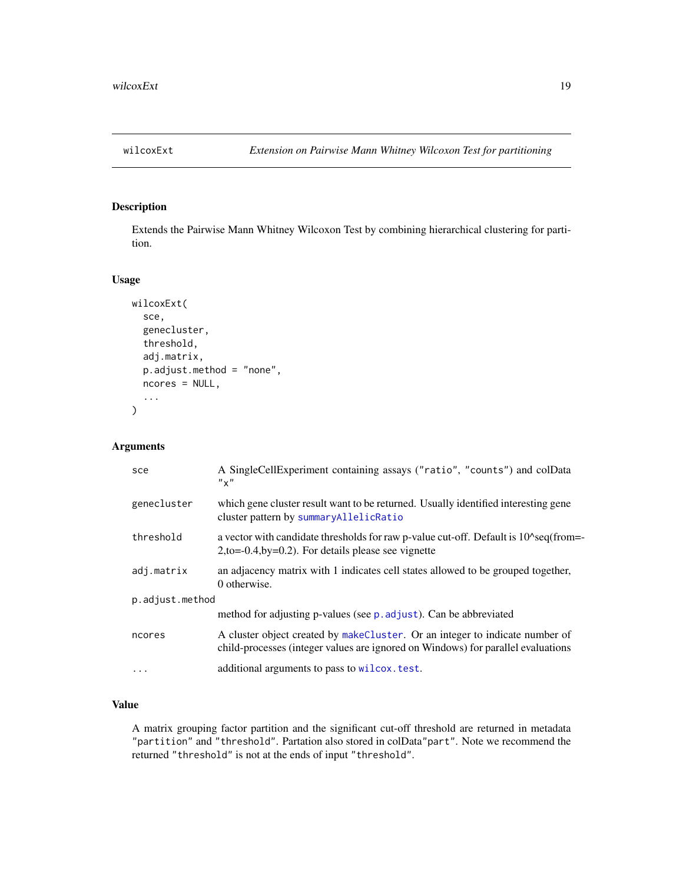<span id="page-18-0"></span>

# Description

Extends the Pairwise Mann Whitney Wilcoxon Test by combining hierarchical clustering for partition.

#### Usage

```
wilcoxExt(
  sce,
  genecluster,
  threshold,
  adj.matrix,
  p.adjust.method = "none",
  ncores = NULL,
  ...
)
```
# Arguments

| sce             | A SingleCellExperiment containing assays ("ratio", "counts") and colData<br>$"$ $\times"$                                                                                   |  |
|-----------------|-----------------------------------------------------------------------------------------------------------------------------------------------------------------------------|--|
| genecluster     | which gene cluster result want to be returned. Usually identified interesting gene<br>cluster pattern by summaryAllelicRatio                                                |  |
| threshold       | a vector with candidate thresholds for raw p-value cut-off. Default is 10 <sup><math>\gamma</math></sup> seq(from=<br>$2,$ to=-0.4,by=0.2). For details please see vignette |  |
| adj.matrix      | an adjacency matrix with 1 indicates cell states allowed to be grouped together,<br>0 otherwise.                                                                            |  |
| p.adjust.method |                                                                                                                                                                             |  |
|                 | method for adjusting p-values (see p. adjust). Can be abbreviated                                                                                                           |  |
| ncores          | A cluster object created by makeCluster. Or an integer to indicate number of<br>child-processes (integer values are ignored on Windows) for parallel evaluations            |  |
| $\cdots$        | additional arguments to pass to wilcox. test.                                                                                                                               |  |

# Value

A matrix grouping factor partition and the significant cut-off threshold are returned in metadata "partition" and "threshold". Partation also stored in colData"part". Note we recommend the returned "threshold" is not at the ends of input "threshold".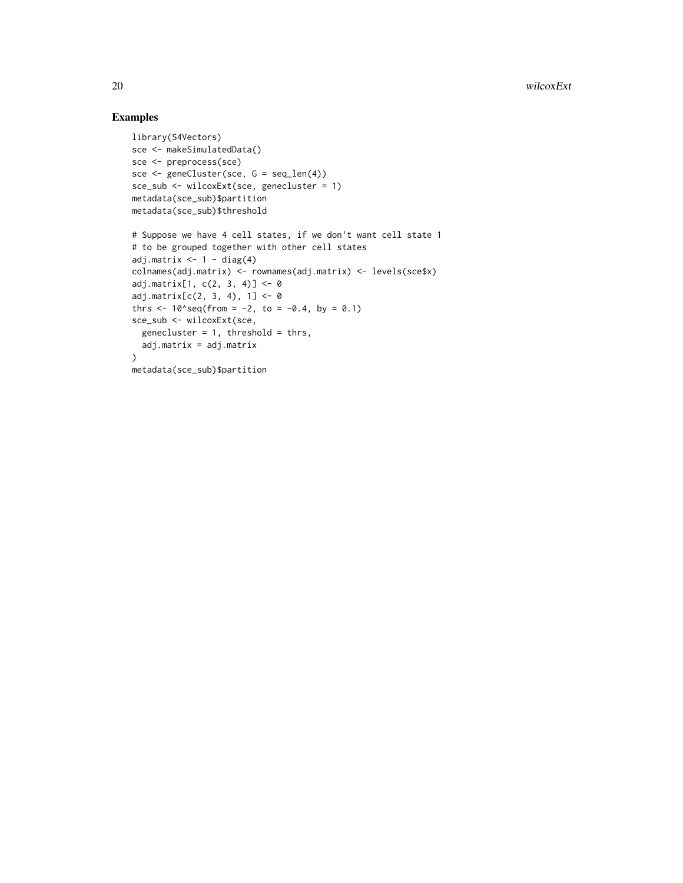```
library(S4Vectors)
sce <- makeSimulatedData()
sce <- preprocess(sce)
sce <- geneCluster(sce, G = seq_len(4))
sce_sub <- wilcoxExt(sce, genecluster = 1)
metadata(sce_sub)$partition
metadata(sce_sub)$threshold
# Suppose we have 4 cell states, if we don't want cell state 1
# to be grouped together with other cell states
adj.matrix \leftarrow 1 - diag(4)
colnames(adj.matrix) <- rownames(adj.matrix) <- levels(sce$x)
adj.matrix[1, c(2, 3, 4)] <- 0
adj.matrix[c(2, 3, 4), 1] < -0thrs \leq -10'seq(from = -2, to = -0.4, by = 0.1)
sce_sub <- wilcoxExt(sce,
  genecluster = 1, threshold = thrs,
  adj.matrix = adj.matrix
\lambdametadata(sce_sub)$partition
```